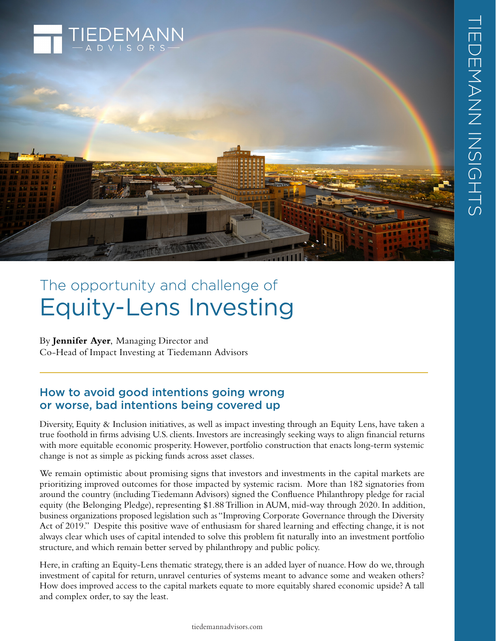

# The opportunity and challenge of Equity-Lens Investing

By **Jennifer Ayer**, Managing Director and Co-Head of Impact Investing at Tiedemann Advisors

# How to avoid good intentions going wrong or worse, bad intentions being covered up

Diversity, Equity & Inclusion initiatives, as well as impact investing through an Equity Lens, have taken a true foothold in firms advising U.S. clients. Investors are increasingly seeking ways to align financial returns with more equitable economic prosperity. However, portfolio construction that enacts long-term systemic change is not as simple as picking funds across asset classes.

We remain optimistic about promising signs that investors and investments in the capital markets are prioritizing improved outcomes for those impacted by systemic racism. More than 182 signatories from around the country (including Tiedemann Advisors) signed the Confluence Philanthropy pledge for racial equity [\(the Belonging Pledge\)](https://www.confluencephilanthropy.org/Racial-Equity-Pledge), representing \$1.88 Trillion in AUM, mid-way through 2020. In addition, business organizations proposed legislation such as "Improving Corporate Governance through the Diversity Act of 2019." Despite this positive wave of enthusiasm for shared learning and effecting change, it is not always clear which uses of capital intended to solve this problem fit naturally into an investment portfolio structure, and which remain better served by philanthropy and public policy.

Here, in crafting an Equity-Lens thematic strategy, there is an added layer of nuance. How do we, through investment of capital for return, unravel centuries of systems meant to advance some and weaken others? How does improved access to the capital markets equate to more equitably shared economic upside? A tall and complex order, to say the least.